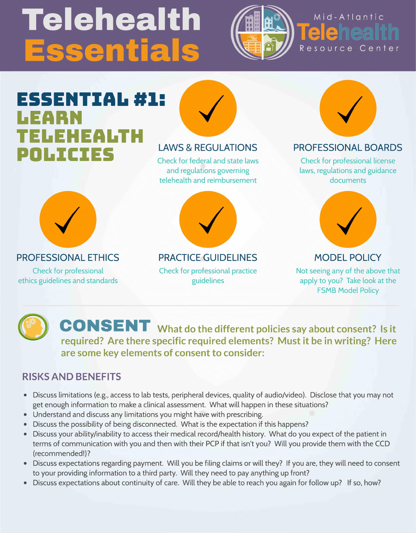# Telehealth **issentials**



### Mid-Atlantic Telehealt Resource Center

### **ESSENTIAL #1: LEARN TELEHEALTH POLICIES** LAWS & REGULATIONS

Check for federal and state laws and regulations governing telehealth and reimbursement

### PROFESSIONAL BOARDS

Check for professional license laws, regulations and guidance documents

### PROFESSIONAL ETHICS

Check for professional ethics guidelines and standards



#### PRACTICE GUIDELINES

Check for professional practice guidelines



#### MODEL POLICY

Not seeing any of the above that apply to you? Take look at the FSMB Model Policy

**CONSENT What do the different policies say about consent? Is it required? Are there specific required elements? Must it be in writing? Here are some key elements of consent to consider:**

#### **RISKS AND BENEFITS**

- Discuss limitations (e.g., access to lab tests, peripheral devices, quality of audio/video). Disclose that you may not get enough information to make a clinical assessment. What will happen in these situations?
- Understand and discuss any limitations you might have with prescribing.
- Discuss the possibility of being disconnected. What is the expectation if this happens?
- Discuss your ability/inability to access their medical record/health history. What do you expect of the patient in terms of communication with you and then with their PCP if that isn't you? Will you provide them with the CCD (recommended!)?
- Discuss expectations regarding payment. Will you be filing claims or will they? If you are, they will need to consent to your providing information to a third party. Will they need to pay anything up front?
- Discuss expectations about continuity of care. Will they be able to reach you again for follow up? If so, how?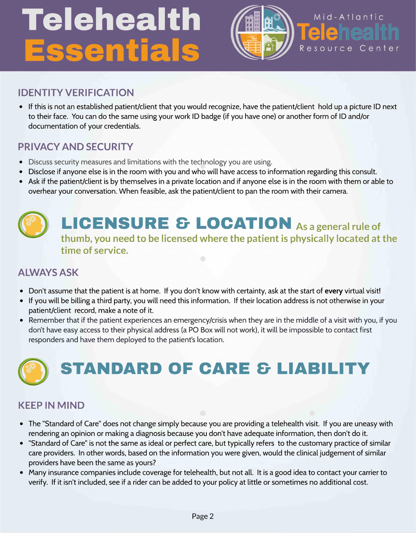# Telehealth Essentials



### Mid-Atlantic **Teleneal** Resource Center

### **IDENTITY VERIFICATION**

• If this is not an established patient/client that you would recognize, have the patient/client hold up a picture ID next to their face. You can do the same using your work ID badge (if you have one) or another form of ID and/or documentation of your credentials.

### **PRIVACY AND SECURITY**

- Discuss security measures and limitations with the technology you are using.
- Disclose if anyone else is in the room with you and who will have access to information regarding this consult.
- Ask if the patient/client is by themselves in a private location and if anyone else is in the room with them or able to overhear your conversation. When feasible, ask the patient/client to pan the room with their camera.





### **LICENSURE & LOCATION as <sup>a</sup> general rule of thumb, you need to be licensed where the patient is physically located at the time of service.**

### **ALWAYS ASK**

- Don't assume that the patient is at home. If you don't know with certainty, ask at the start of every virtual visit!
- If you will be billing a third party, you will need this information. If their location address is not otherwise in your patient/client record, make a note of it.
- Remember that if the patient experiences an emergency/crisis when they are in the middle of a visit with you, if you don't have easy access to their physical address (a PO Box will not work), it will be impossible to contact first responders and have them deployed to the patient's location.



### **KEEP IN MIND**

- The "Standard of Care" does not change simply because you are providing a telehealth visit. If you are uneasy with rendering an opinion or making a diagnosis because you don't have adequate information, then don't do it.
- "Standard of Care" is not the same as ideal or perfect care, but typically refers to the customary practice of similar care providers. In other words, based on the information you were given, would the clinical judgement of similar providers have been the same as yours?
- Many insurance companies include coverage for telehealth, but not all. It is a good idea to contact your carrier to verify. If it isn't included, see if a rider can be added to your policy at little or sometimes no additional cost.

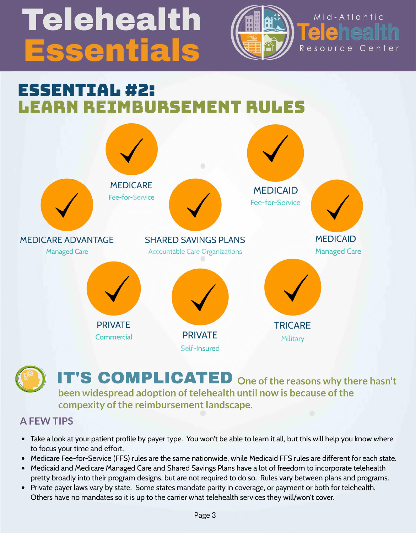# Telehealth ssentials



### Mid-Atlantic l e neal Resource Center

### **ESSENTIAL #2: LEARN REIMBURSEMENT RULES**

MEDICARE Fee-for-Service

MEDICAID Fee-for-Service





## **IT'S COMPLICATED One of the reasons why there hasn't**

**been widespread adoption of telehealth until now is because of the compexity of the reimbursement landscape.**



- Take a look at your patient profile by payer type. You won't be able to learn it all, but this will help you know where to focus your time and effort.
- Medicare Fee-for-Service (FFS) rules are the same nationwide, while Medicaid FFS rules are different for each state.
- Medicaid and Medicare Managed Care and Shared Savings Plans have a lot of freedom to incorporate telehealth pretty broadly into their program designs, but are not required to do so. Rules vary between plans and programs.
- Private payer laws vary by state. Some states mandate parity in coverage, or payment or both for telehealth. Others have no mandates so it is up to the carrier what telehealth services they will/won't cover.

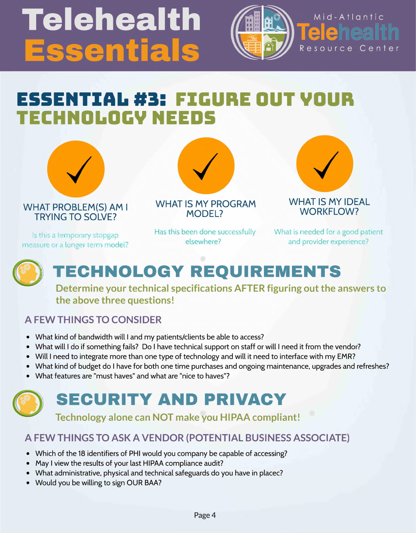# Telehealth ssentials



### Mid-Atlantic le neal Resource Center

### **ESSENTIAL#3: FIGURE OUT VOUR TECHNOLOGV NEEDS**



WHAT PROBLEM(S) AM <sup>I</sup> TRYING TO SOLVE?



Has this been done successfully elsewhere?

WHAT IS MY IDEAL WORKFLOW?

Is this a temporary stopgap measure or a longer term model?

What is needed for a good patient and provider experience?



## **TECHNOLOGY REQUIREMENTS**

**Determine your technical specifications AFTER figuring out the answers to the above three questions!**

### **A FEW THINGS TO CONSIDER**

- Which of the 18 identifiers of PHI would you company be capable of accessing?
- May I view the results of your last HIPAA compliance audit?
- What administrative, physical and technical safeguards do you have in placec?
- Would you be willing to sign OUR BAA?
- What kind of bandwidth will <sup>I</sup> and my patients/clients be able to access?
- What will <sup>I</sup> do if something fails? Do <sup>I</sup> have technical support on staff or will <sup>I</sup> need it from the vendor?
- Will <sup>I</sup> need to integrate more than one type of technology and will it need to interface with my EMR?
- What kind of budget do <sup>I</sup> have for both one time purchases and ongoing maintenance, upgrades and refreshes?
- What features are "must haves" and what are "nice to haves"?

### **SECURITY AND PRIVACY**

**Technology alone can NOT make you HIPAA compliant!**

#### **A FEW THINGS TO ASK A VENDOR (POTENTIAL BUSINESS ASSOCIATE)**